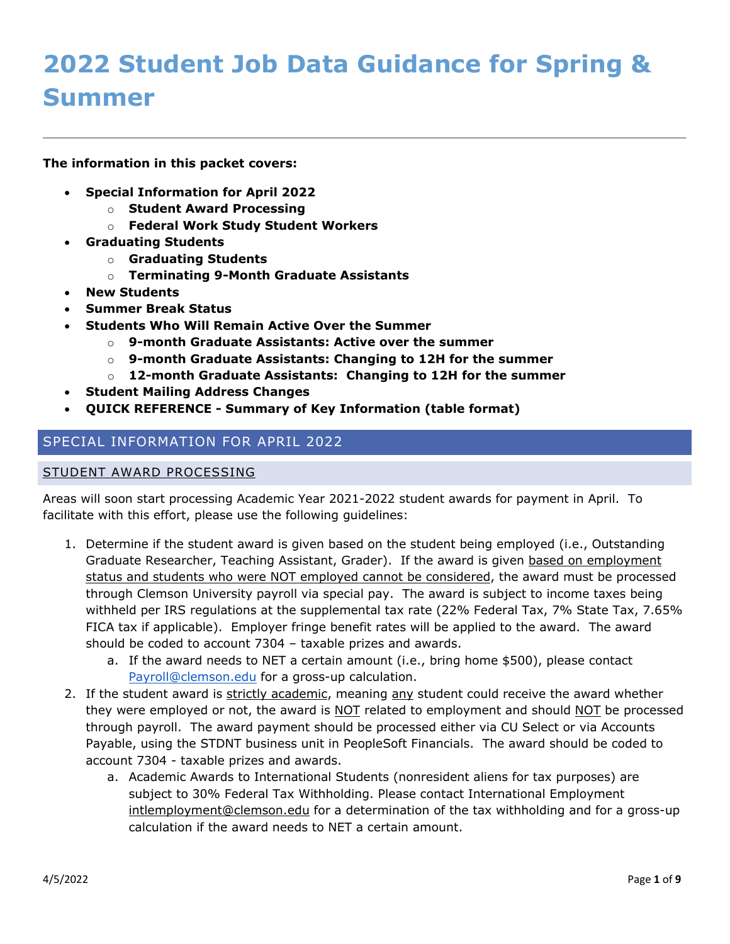# **2022 Student Job Data Guidance for Spring & Summer**

**The information in this packet covers:**

- **Special Information for April 2022**
	- o **Student Award Processing**
	- o **Federal Work Study Student Workers**
- **Graduating Students**
	- o **Graduating Students**
	- o **Terminating 9-Month Graduate Assistants**
- **New Students**
- **Summer Break Status**
- **Students Who Will Remain Active Over the Summer**
	- o **9-month Graduate Assistants: Active over the summer**
	- o **9-month Graduate Assistants: Changing to 12H for the summer**
	- o **12-month Graduate Assistants: Changing to 12H for the summer**
- **Student Mailing Address Changes**
- **QUICK REFERENCE - Summary of Key Information (table format)**

## SPECIAL INFORMATION FOR APRIL 2022

#### STUDENT AWARD PROCESSING

Areas will soon start processing Academic Year 2021-2022 student awards for payment in April. To facilitate with this effort, please use the following guidelines:

- 1. Determine if the student award is given based on the student being employed (i.e., Outstanding Graduate Researcher, Teaching Assistant, Grader). If the award is given based on employment status and students who were NOT employed cannot be considered, the award must be processed through Clemson University payroll via special pay. The award is subject to income taxes being withheld per IRS regulations at the supplemental tax rate (22% Federal Tax, 7% State Tax, 7.65% FICA tax if applicable). Employer fringe benefit rates will be applied to the award. The award should be coded to account 7304 – taxable prizes and awards.
	- a. If the award needs to NET a certain amount (i.e., bring home \$500), please contact [Payroll@clemson.edu](mailto:Payroll@clemson.edu) for a gross-up calculation.
- 2. If the student award is strictly academic, meaning any student could receive the award whether they were employed or not, the award is NOT related to employment and should NOT be processed through payroll. The award payment should be processed either via CU Select or via Accounts Payable, using the STDNT business unit in PeopleSoft Financials. The award should be coded to account 7304 - taxable prizes and awards.
	- a. Academic Awards to International Students (nonresident aliens for tax purposes) are subject to 30% Federal Tax Withholding. Please contact International Employment [intlemployment@clemson.edu](mailto:intlemployment@clemson.edu) for a determination of the tax withholding and for a gross-up calculation if the award needs to NET a certain amount.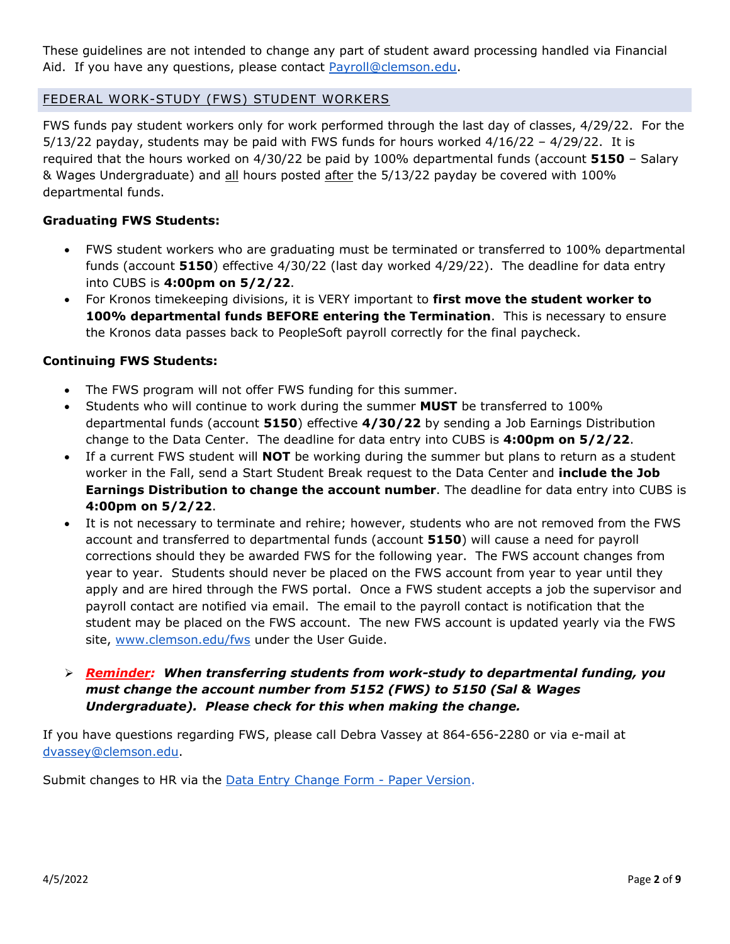These guidelines are not intended to change any part of student award processing handled via Financial Aid. If you have any questions, please contact [Payroll@clemson.edu.](mailto:Payroll@clemson.edu)

## FEDERAL WORK-STUDY (FWS) STUDENT WORKERS

FWS funds pay student workers only for work performed through the last day of classes, 4/29/22. For the  $5/13/22$  payday, students may be paid with FWS funds for hours worked  $4/16/22 - 4/29/22$ . It is required that the hours worked on 4/30/22 be paid by 100% departmental funds (account **5150** – Salary & Wages Undergraduate) and all hours posted after the 5/13/22 payday be covered with 100% departmental funds.

#### **Graduating FWS Students:**

- FWS student workers who are graduating must be terminated or transferred to 100% departmental funds (account **5150**) effective 4/30/22 (last day worked 4/29/22). The deadline for data entry into CUBS is **4:00pm on 5/2/22**.
- For Kronos timekeeping divisions, it is VERY important to **first move the student worker to 100% departmental funds BEFORE entering the Termination**. This is necessary to ensure the Kronos data passes back to PeopleSoft payroll correctly for the final paycheck.

#### **Continuing FWS Students:**

- The FWS program will not offer FWS funding for this summer.
- Students who will continue to work during the summer **MUST** be transferred to 100% departmental funds (account **5150**) effective **4/30/22** by sending a Job Earnings Distribution change to the Data Center. The deadline for data entry into CUBS is **4:00pm on 5/2/22**.
- If a current FWS student will **NOT** be working during the summer but plans to return as a student worker in the Fall, send a Start Student Break request to the Data Center and **include the Job Earnings Distribution to change the account number**. The deadline for data entry into CUBS is **4:00pm on 5/2/22**.
- It is not necessary to terminate and rehire; however, students who are not removed from the FWS account and transferred to departmental funds (account **5150**) will cause a need for payroll corrections should they be awarded FWS for the following year. The FWS account changes from year to year. Students should never be placed on the FWS account from year to year until they apply and are hired through the FWS portal. Once a FWS student accepts a job the supervisor and payroll contact are notified via email. The email to the payroll contact is notification that the student may be placed on the FWS account. The new FWS account is updated yearly via the FWS site, [www.clemson.edu/fws](http://www.clemson.edu/fws) under the User Guide.

## *Reminder: When transferring students from work-study to departmental funding, you must change the account number from 5152 (FWS) to 5150 (Sal & Wages Undergraduate). Please check for this when making the change.*

If you have questions regarding FWS, please call Debra Vassey at 864-656-2280 or via e-mail at [dvassey@clemson.edu.](mailto:dvassey@clemson.edu)

Submit changes to HR via the **Data Entry Change Form - Paper Version**.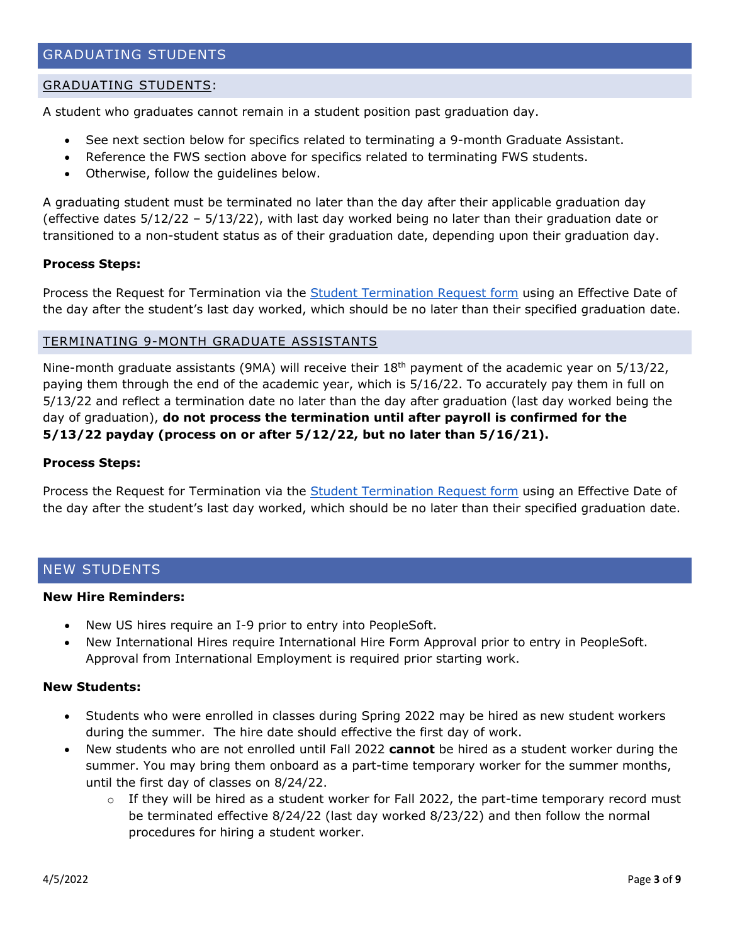#### GRADUATING STUDENTS:

A student who graduates cannot remain in a student position past graduation day.

- See next section below for specifics related to terminating a 9-month Graduate Assistant.
- Reference the FWS section above for specifics related to terminating FWS students.
- Otherwise, follow the guidelines below.

A graduating student must be terminated no later than the day after their applicable graduation day (effective dates 5/12/22 – 5/13/22), with last day worked being no later than their graduation date or transitioned to a non-student status as of their graduation date, depending upon their graduation day.

#### **Process Steps:**

Process the Request for Termination via the [Student Termination Request form](https://media.clemson.edu/humanres/data_entry/Student-Termination-Request.pdf) using an Effective Date of the day after the student's last day worked, which should be no later than their specified graduation date.

#### TERMINATING 9-MONTH GRADUATE ASSISTANTS

Nine-month graduate assistants (9MA) will receive their 18th payment of the academic year on 5/13/22, paying them through the end of the academic year, which is 5/16/22. To accurately pay them in full on 5/13/22 and reflect a termination date no later than the day after graduation (last day worked being the day of graduation), **do not process the termination until after payroll is confirmed for the 5/13/22 payday (process on or after 5/12/22, but no later than 5/16/21).**

#### **Process Steps:**

Process the Request for Termination via the **Student Termination Request form** using an Effective Date of the day after the student's last day worked, which should be no later than their specified graduation date.

## NEW STUDENTS

#### **New Hire Reminders:**

- New US hires require an I-9 prior to entry into PeopleSoft.
- New International Hires require International Hire Form Approval prior to entry in PeopleSoft. Approval from International Employment is required prior starting work.

#### **New Students:**

- Students who were enrolled in classes during Spring 2022 may be hired as new student workers during the summer. The hire date should effective the first day of work.
- New students who are not enrolled until Fall 2022 **cannot** be hired as a student worker during the summer. You may bring them onboard as a part-time temporary worker for the summer months, until the first day of classes on 8/24/22.
	- $\circ$  If they will be hired as a student worker for Fall 2022, the part-time temporary record must be terminated effective 8/24/22 (last day worked 8/23/22) and then follow the normal procedures for hiring a student worker.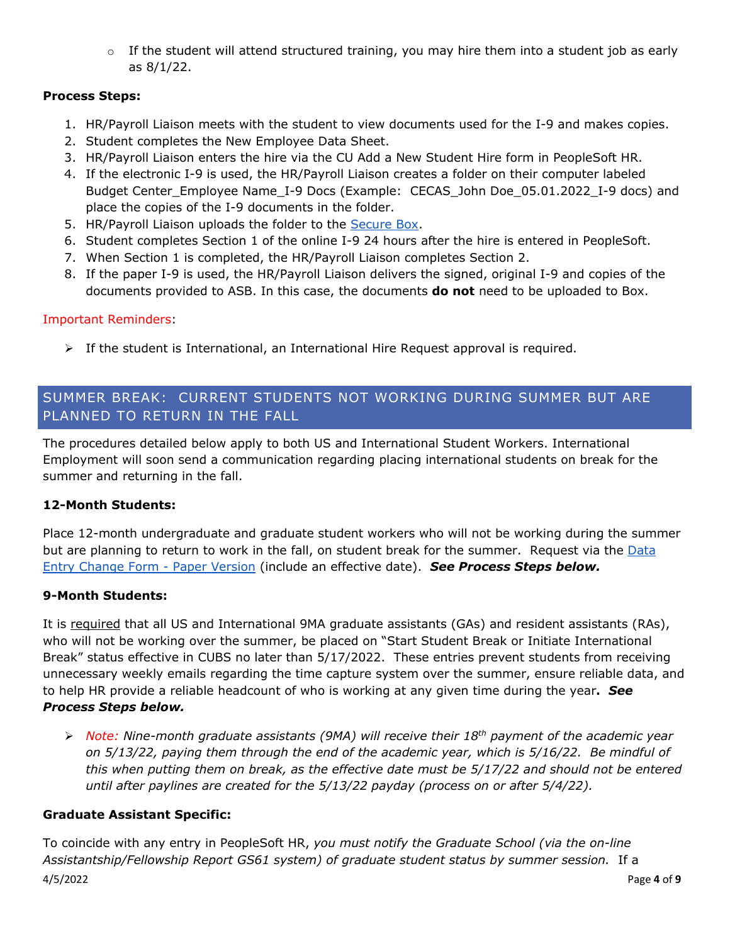$\circ$  If the student will attend structured training, you may hire them into a student job as early as 8/1/22.

## **Process Steps:**

- 1. HR/Payroll Liaison meets with the student to view documents used for the I-9 and makes copies.
- 2. Student completes the New Employee Data Sheet.
- 3. HR/Payroll Liaison enters the hire via the CU Add a New Student Hire form in PeopleSoft HR.
- 4. If the electronic I-9 is used, the HR/Payroll Liaison creates a folder on their computer labeled Budget Center\_Employee Name\_I-9 Docs (Example: CECAS\_John Doe\_05.01.2022\_I-9 docs) and place the copies of the I-9 documents in the folder.
- 5. HR/Payroll Liaison uploads the folder to the [Secure Box.](https://clemson.app.box.com/folder/112437539127?s=vtdycyk2aq2y8f2g41qv66eaxg9sr1cn)
- 6. Student completes Section 1 of the online I-9 24 hours after the hire is entered in PeopleSoft.
- 7. When Section 1 is completed, the HR/Payroll Liaison completes Section 2.
- 8. If the paper I-9 is used, the HR/Payroll Liaison delivers the signed, original I-9 and copies of the documents provided to ASB. In this case, the documents **do not** need to be uploaded to Box.

## Important Reminders:

 $\triangleright$  If the student is International, an International Hire Request approval is required.

## SUMMER BREAK: CURRENT STUDENTS NOT WORKING DURING SUMMER BUT ARE PLANNED TO RETURN IN THE FALL

The procedures detailed below apply to both US and International Student Workers. International Employment will soon send a communication regarding placing international students on break for the summer and returning in the fall.

## **12-Month Students:**

Place 12-month undergraduate and graduate student workers who will not be working during the summer but are planning to return to work in the fall, on student break for the summer. Request via the Data [Entry Change Form -](https://media.clemson.edu/humanres/data_entry/Data-Entry-Change-Form-Paper-Version.pdf) Paper Version (include an effective date). *See Process Steps below.*

## **9-Month Students:**

It is required that all US and International 9MA graduate assistants (GAs) and resident assistants (RAs), who will not be working over the summer, be placed on "Start Student Break or Initiate International Break" status effective in CUBS no later than 5/17/2022. These entries prevent students from receiving unnecessary weekly emails regarding the time capture system over the summer, ensure reliable data, and to help HR provide a reliable headcount of who is working at any given time during the year**.** *See Process Steps below.*

 *Note: Nine-month graduate assistants (9MA) will receive their 18th payment of the academic year on 5/13/22, paying them through the end of the academic year, which is 5/16/22. Be mindful of this when putting them on break, as the effective date must be 5/17/22 and should not be entered until after paylines are created for the 5/13/22 payday (process on or after 5/4/22).* 

## **Graduate Assistant Specific:**

4/5/2022 Page **4** of **9** To coincide with any entry in PeopleSoft HR, *you must notify the Graduate School (via the on-line Assistantship/Fellowship Report GS61 system) of graduate student status by summer session.* If a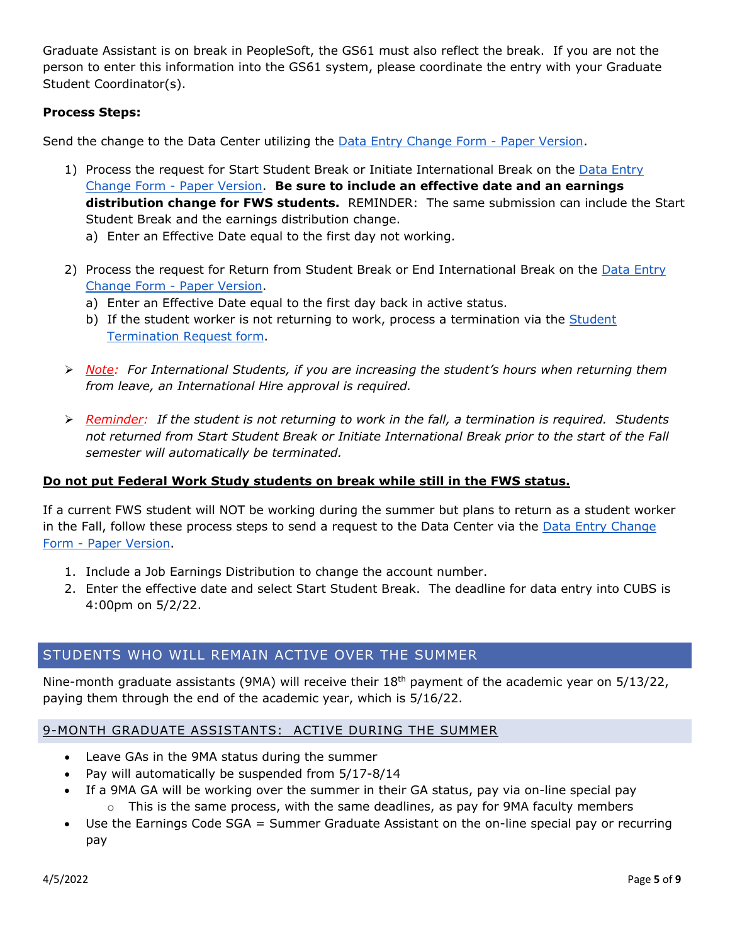Graduate Assistant is on break in PeopleSoft, the GS61 must also reflect the break. If you are not the person to enter this information into the GS61 system, please coordinate the entry with your Graduate Student Coordinator(s).

### **Process Steps:**

Send the change to the Data Center utilizing the [Data Entry Change Form -](https://media.clemson.edu/humanres/data_entry/Data-Entry-Change-Form-Paper-Version.pdf) Paper Version.

- 1) Process the request for Start Student Break or Initiate International Break on the Data Entry [Change Form -](https://media.clemson.edu/humanres/data_entry/Data-Entry-Change-Form-Paper-Version.pdf) Paper Version. **Be sure to include an effective date and an earnings distribution change for FWS students.** REMINDER: The same submission can include the Start Student Break and the earnings distribution change.
	- a) Enter an Effective Date equal to the first day not working.
- 2) Process the request for Return from Student Break or End International Break on the Data Entry [Change Form -](https://media.clemson.edu/humanres/data_entry/Data-Entry-Change-Form-Paper-Version.pdf) Paper Version.
	- a) Enter an Effective Date equal to the first day back in active status.
	- b) If the student worker is not returning to work, process a termination via the Student [Termination Request form.](https://media.clemson.edu/humanres/data_entry/Student-Termination-Request.pdf)
- *Note: For International Students, if you are increasing the student's hours when returning them from leave, an International Hire approval is required.*
- *Reminder: If the student is not returning to work in the fall, a termination is required. Students not returned from Start Student Break or Initiate International Break prior to the start of the Fall semester will automatically be terminated.*

#### **Do not put Federal Work Study students on break while still in the FWS status.**

If a current FWS student will NOT be working during the summer but plans to return as a student worker in the Fall, follow these process steps to send a request to the Data Center via the [Data Entry Change](https://media.clemson.edu/humanres/data_entry/Data-Entry-Change-Form-Paper-Version.pdf)  Form - [Paper Version.](https://media.clemson.edu/humanres/data_entry/Data-Entry-Change-Form-Paper-Version.pdf)

- 1. Include a Job Earnings Distribution to change the account number.
- 2. Enter the effective date and select Start Student Break. The deadline for data entry into CUBS is 4:00pm on 5/2/22.

## STUDENTS WHO WILL REMAIN ACTIVE OVER THE SUMMER

Nine-month graduate assistants (9MA) will receive their 18<sup>th</sup> payment of the academic year on 5/13/22, paying them through the end of the academic year, which is 5/16/22.

## 9-MONTH GRADUATE ASSISTANTS: ACTIVE DURING THE SUMMER

- Leave GAs in the 9MA status during the summer
- Pay will automatically be suspended from 5/17-8/14
- If a 9MA GA will be working over the summer in their GA status, pay via on-line special pay  $\circ$  This is the same process, with the same deadlines, as pay for 9MA faculty members
- Use the Earnings Code SGA = Summer Graduate Assistant on the on-line special pay or recurring pay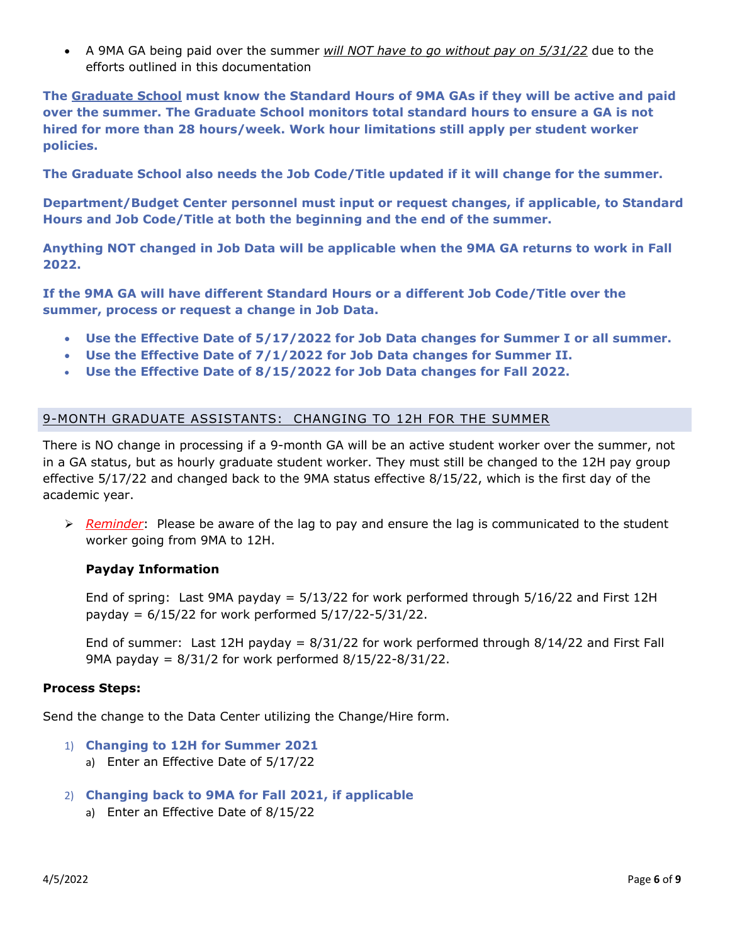• A 9MA GA being paid over the summer *will NOT have to go without pay on 5/31/22* due to the efforts outlined in this documentation

**The Graduate School must know the Standard Hours of 9MA GAs if they will be active and paid over the summer. The Graduate School monitors total standard hours to ensure a GA is not hired for more than 28 hours/week. Work hour limitations still apply per student worker policies.**

**The Graduate School also needs the Job Code/Title updated if it will change for the summer.**

**Department/Budget Center personnel must input or request changes, if applicable, to Standard Hours and Job Code/Title at both the beginning and the end of the summer.**

**Anything NOT changed in Job Data will be applicable when the 9MA GA returns to work in Fall 2022.**

**If the 9MA GA will have different Standard Hours or a different Job Code/Title over the summer, process or request a change in Job Data.**

- **Use the Effective Date of 5/17/2022 for Job Data changes for Summer I or all summer.**
- **Use the Effective Date of 7/1/2022 for Job Data changes for Summer II.**
- **Use the Effective Date of 8/15/2022 for Job Data changes for Fall 2022.**

### 9-MONTH GRADUATE ASSISTANTS: CHANGING TO 12H FOR THE SUMMER

There is NO change in processing if a 9-month GA will be an active student worker over the summer, not in a GA status, but as hourly graduate student worker. They must still be changed to the 12H pay group effective 5/17/22 and changed back to the 9MA status effective 8/15/22, which is the first day of the academic year.

 *Reminder*: Please be aware of the lag to pay and ensure the lag is communicated to the student worker going from 9MA to 12H.

#### **Payday Information**

End of spring: Last 9MA payday =  $5/13/22$  for work performed through  $5/16/22$  and First 12H payday = 6/15/22 for work performed 5/17/22-5/31/22.

End of summer: Last 12H payday =  $8/31/22$  for work performed through  $8/14/22$  and First Fall 9MA payday = 8/31/2 for work performed 8/15/22-8/31/22.

#### **Process Steps:**

Send the change to the Data Center utilizing the Change/Hire form.

- 1) **Changing to 12H for Summer 2021**
	- a) Enter an Effective Date of 5/17/22
- 2) **Changing back to 9MA for Fall 2021, if applicable**
	- a) Enter an Effective Date of 8/15/22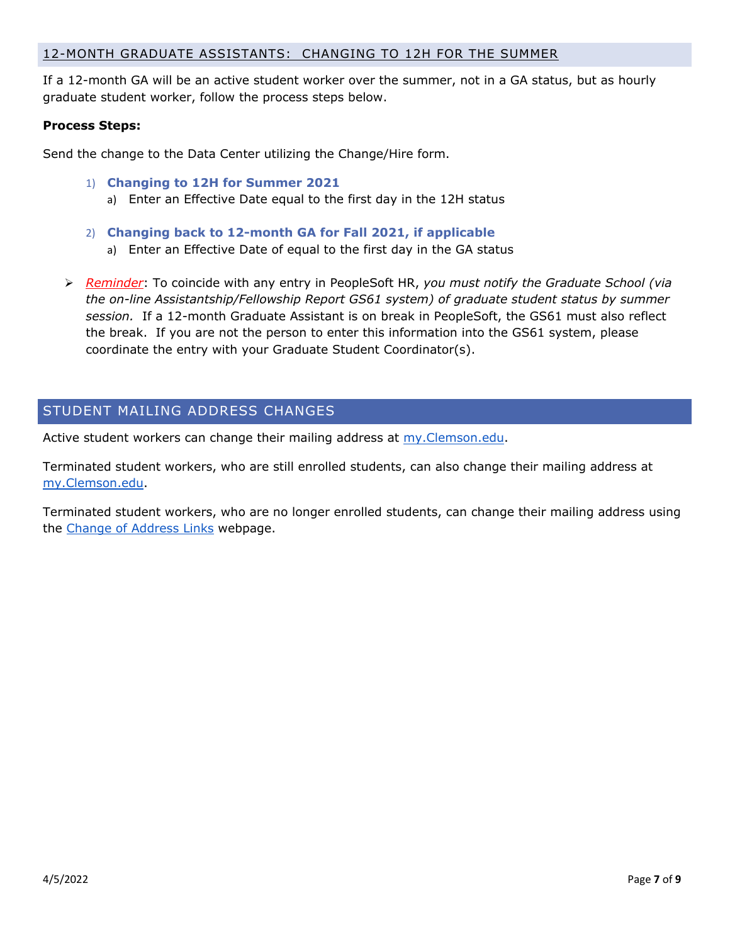#### 12-MONTH GRADUATE ASSISTANTS: CHANGING TO 12H FOR THE SUMMER

If a 12-month GA will be an active student worker over the summer, not in a GA status, but as hourly graduate student worker, follow the process steps below.

#### **Process Steps:**

Send the change to the Data Center utilizing the Change/Hire form.

- 1) **Changing to 12H for Summer 2021**
	- a) Enter an Effective Date equal to the first day in the 12H status
- 2) **Changing back to 12-month GA for Fall 2021, if applicable** a) Enter an Effective Date of equal to the first day in the GA status
- *Reminder*: To coincide with any entry in PeopleSoft HR, *you must notify the Graduate School (via the on-line Assistantship/Fellowship Report GS61 system) of graduate student status by summer session.* If a 12-month Graduate Assistant is on break in PeopleSoft, the GS61 must also reflect the break. If you are not the person to enter this information into the GS61 system, please coordinate the entry with your Graduate Student Coordinator(s).

## STUDENT MAILING ADDRESS CHANGES

Active student workers can change their mailing address at my. Clemson.edu.

Terminated student workers, who are still enrolled students, can also change their mailing address at [my.Clemson.](https://my.clemson.edu/)edu.

Terminated student workers, who are no longer enrolled students, can change their mailing address using the [Change of Address Links](https://www.clemson.edu/employment/worklife/change_address.html) webpage.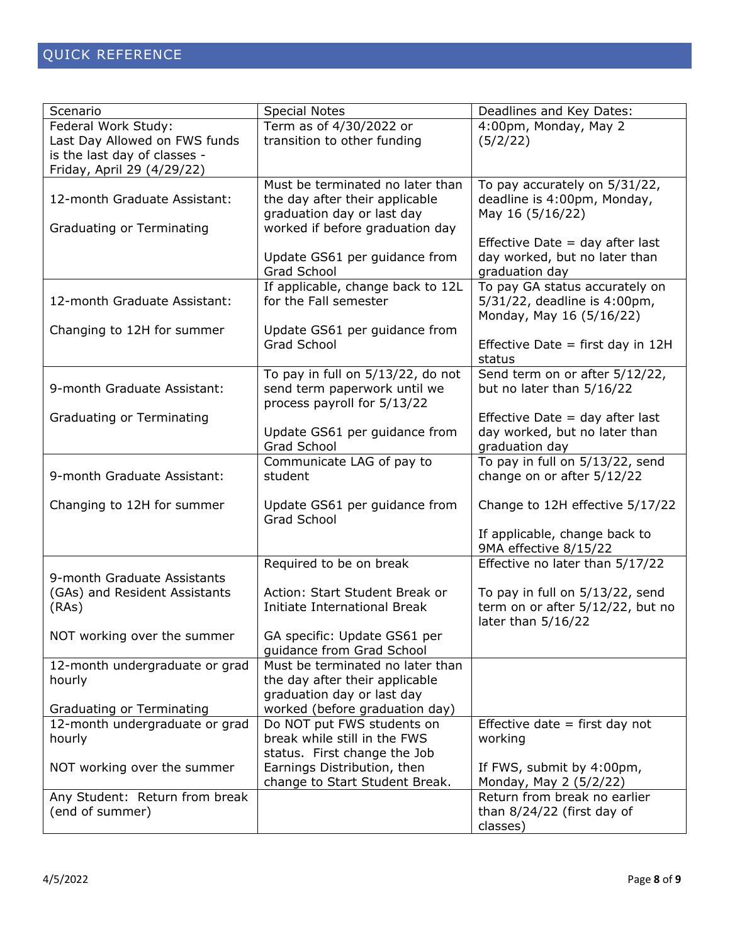| Scenario                       | <b>Special Notes</b>                                         | Deadlines and Key Dates:                        |
|--------------------------------|--------------------------------------------------------------|-------------------------------------------------|
| Federal Work Study:            | Term as of 4/30/2022 or                                      | 4:00pm, Monday, May 2                           |
| Last Day Allowed on FWS funds  | transition to other funding                                  | (5/2/22)                                        |
| is the last day of classes -   |                                                              |                                                 |
| Friday, April 29 (4/29/22)     |                                                              |                                                 |
| 12-month Graduate Assistant:   | Must be terminated no later than                             | To pay accurately on 5/31/22,                   |
|                                | the day after their applicable<br>graduation day or last day | deadline is 4:00pm, Monday,<br>May 16 (5/16/22) |
| Graduating or Terminating      | worked if before graduation day                              |                                                 |
|                                |                                                              | Effective Date $=$ day after last               |
|                                | Update GS61 per guidance from                                | day worked, but no later than                   |
|                                | Grad School                                                  | graduation day                                  |
|                                | If applicable, change back to 12L                            | To pay GA status accurately on                  |
| 12-month Graduate Assistant:   | for the Fall semester                                        | 5/31/22, deadline is 4:00pm,                    |
|                                |                                                              | Monday, May 16 (5/16/22)                        |
| Changing to 12H for summer     | Update GS61 per guidance from                                |                                                 |
|                                | Grad School                                                  | Effective Date $=$ first day in 12H             |
|                                |                                                              | status                                          |
|                                | To pay in full on 5/13/22, do not                            | Send term on or after 5/12/22,                  |
| 9-month Graduate Assistant:    | send term paperwork until we                                 | but no later than 5/16/22                       |
| Graduating or Terminating      | process payroll for 5/13/22                                  | Effective Date $=$ day after last               |
|                                | Update GS61 per guidance from                                | day worked, but no later than                   |
|                                | Grad School                                                  | graduation day                                  |
|                                | Communicate LAG of pay to                                    | To pay in full on 5/13/22, send                 |
| 9-month Graduate Assistant:    | student                                                      | change on or after 5/12/22                      |
|                                |                                                              |                                                 |
| Changing to 12H for summer     | Update GS61 per guidance from                                | Change to 12H effective 5/17/22                 |
|                                | Grad School                                                  |                                                 |
|                                |                                                              | If applicable, change back to                   |
|                                |                                                              | 9MA effective 8/15/22                           |
| 9-month Graduate Assistants    | Required to be on break                                      | Effective no later than 5/17/22                 |
| (GAs) and Resident Assistants  | Action: Start Student Break or                               | To pay in full on 5/13/22, send                 |
| (RAs)                          | Initiate International Break                                 | term on or after 5/12/22, but no                |
|                                |                                                              | later than 5/16/22                              |
| NOT working over the summer    | GA specific: Update GS61 per                                 |                                                 |
|                                | guidance from Grad School                                    |                                                 |
| 12-month undergraduate or grad | Must be terminated no later than                             |                                                 |
| hourly                         | the day after their applicable                               |                                                 |
|                                | graduation day or last day                                   |                                                 |
| Graduating or Terminating      | worked (before graduation day)                               |                                                 |
| 12-month undergraduate or grad | Do NOT put FWS students on                                   | Effective date $=$ first day not                |
| hourly                         | break while still in the FWS                                 | working                                         |
| NOT working over the summer    | status. First change the Job<br>Earnings Distribution, then  | If FWS, submit by 4:00pm,                       |
|                                | change to Start Student Break.                               | Monday, May 2 (5/2/22)                          |
| Any Student: Return from break |                                                              | Return from break no earlier                    |
| (end of summer)                |                                                              | than 8/24/22 (first day of                      |
|                                |                                                              | classes)                                        |